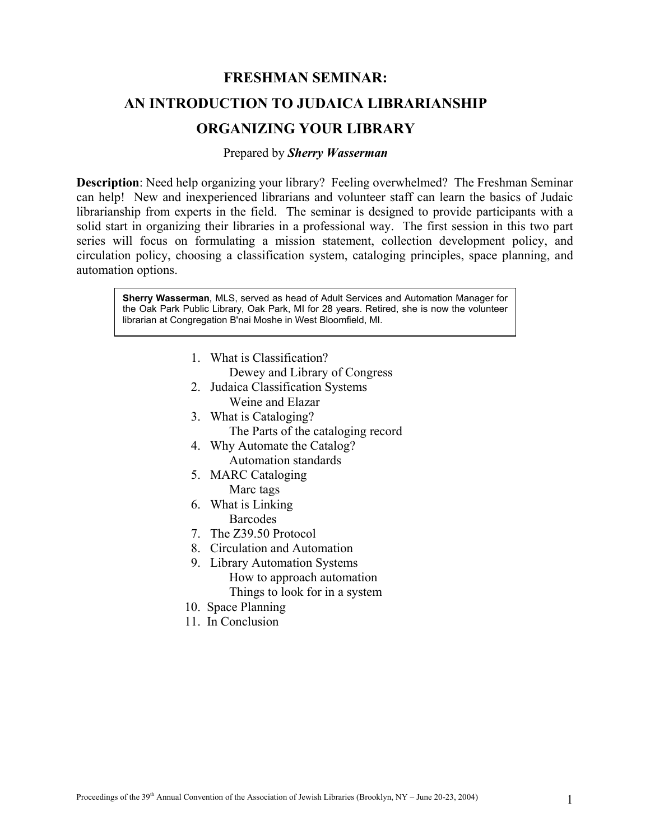# **FRESHMAN SEMINAR: AN INTRODUCTION TO JUDAICA LIBRARIANSHIP ORGANIZING YOUR LIBRARY**

#### Prepared by *Sherry Wasserman*

**Description**: Need help organizing your library? Feeling overwhelmed? The Freshman Seminar can help! New and inexperienced librarians and volunteer staff can learn the basics of Judaic librarianship from experts in the field. The seminar is designed to provide participants with a solid start in organizing their libraries in a professional way. The first session in this two part series will focus on formulating a mission statement, collection development policy, and circulation policy, choosing a classification system, cataloging principles, space planning, and automation options.

**Sherry Wasserman***,* MLS, served as head of Adult Services and Automation Manager for the Oak Park Public Library, Oak Park, MI for 28 years. Retired, she is now the volunteer librarian at Congregation B'nai Moshe in West Bloomfield, MI.

1. What is Classification?

Dewey and Library of Congress

- 2. Judaica Classification Systems Weine and Elazar
- 3. What is Cataloging? The Parts of the cataloging record
- 4. Why Automate the Catalog? Automation standards
- 5. MARC Cataloging
	- Marc tags
- 6. What is Linking **Barcodes**
- 7. The Z39.50 Protocol
- 8. Circulation and Automation
- 9. Library Automation Systems How to approach automation
	- Things to look for in a system
- 10. Space Planning
- 11. In Conclusion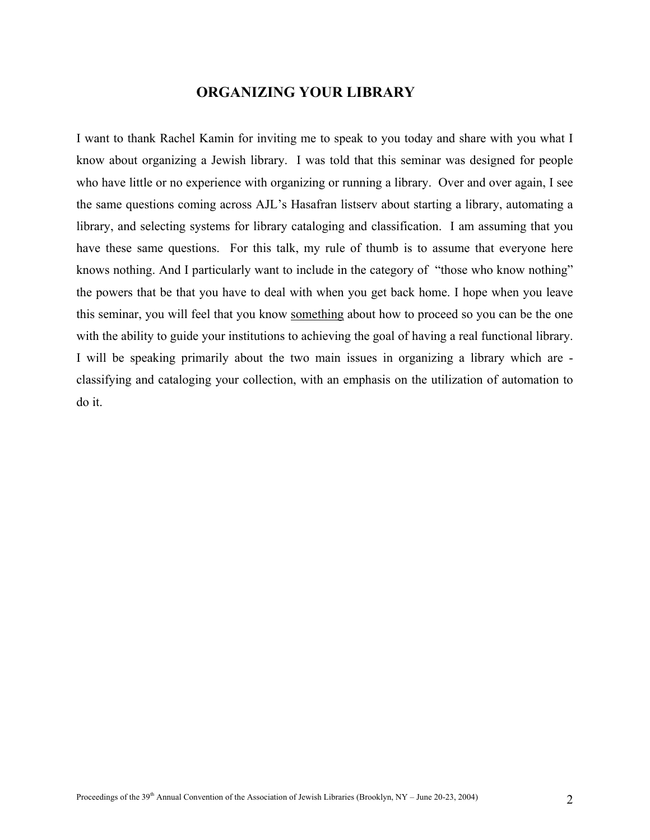# **ORGANIZING YOUR LIBRARY**

I want to thank Rachel Kamin for inviting me to speak to you today and share with you what I know about organizing a Jewish library. I was told that this seminar was designed for people who have little or no experience with organizing or running a library. Over and over again, I see the same questions coming across AJL's Hasafran listserv about starting a library, automating a library, and selecting systems for library cataloging and classification. I am assuming that you have these same questions. For this talk, my rule of thumb is to assume that everyone here knows nothing. And I particularly want to include in the category of "those who know nothing" the powers that be that you have to deal with when you get back home. I hope when you leave this seminar, you will feel that you know something about how to proceed so you can be the one with the ability to guide your institutions to achieving the goal of having a real functional library. I will be speaking primarily about the two main issues in organizing a library which are classifying and cataloging your collection, with an emphasis on the utilization of automation to do it.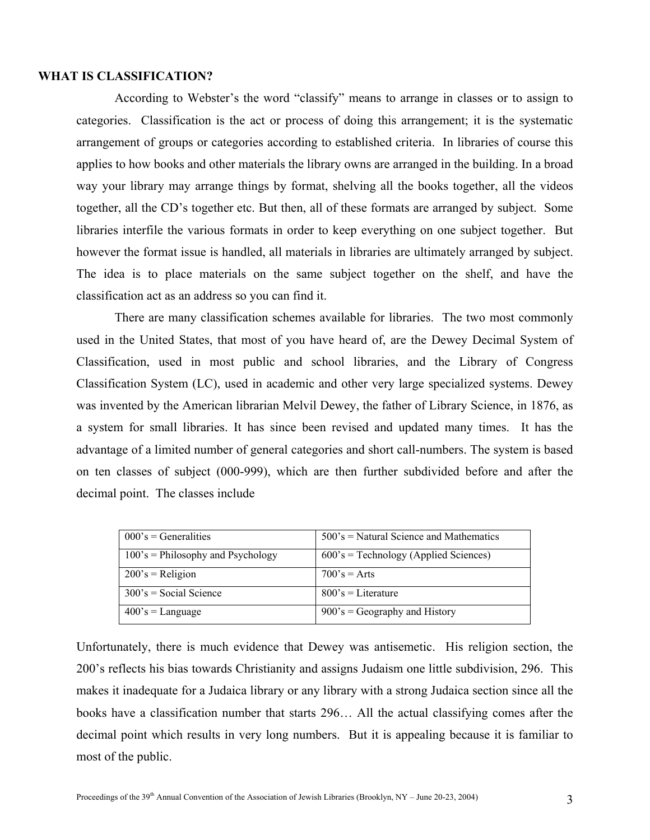#### **WHAT IS CLASSIFICATION?**

According to Webster's the word "classify" means to arrange in classes or to assign to categories. Classification is the act or process of doing this arrangement; it is the systematic arrangement of groups or categories according to established criteria. In libraries of course this applies to how books and other materials the library owns are arranged in the building. In a broad way your library may arrange things by format, shelving all the books together, all the videos together, all the CD's together etc. But then, all of these formats are arranged by subject. Some libraries interfile the various formats in order to keep everything on one subject together. But however the format issue is handled, all materials in libraries are ultimately arranged by subject. The idea is to place materials on the same subject together on the shelf, and have the classification act as an address so you can find it.

There are many classification schemes available for libraries. The two most commonly used in the United States, that most of you have heard of, are the Dewey Decimal System of Classification, used in most public and school libraries, and the Library of Congress Classification System (LC), used in academic and other very large specialized systems. Dewey was invented by the American librarian Melvil Dewey, the father of Library Science, in 1876, as a system for small libraries. It has since been revised and updated many times. It has the advantage of a limited number of general categories and short call-numbers. The system is based on ten classes of subject (000-999), which are then further subdivided before and after the decimal point. The classes include

| $000$ 's = Generalities              | $500$ 's = Natural Science and Mathematics |
|--------------------------------------|--------------------------------------------|
| $100$ 's = Philosophy and Psychology | $600$ 's = Technology (Applied Sciences)   |
| $200's$ = Religion                   | $700's = Arts$                             |
| $300$ 's = Social Science            | $800's = Literature$                       |
| $400$ 's = Language                  | $900$ 's = Geography and History           |

Unfortunately, there is much evidence that Dewey was antisemetic. His religion section, the 200's reflects his bias towards Christianity and assigns Judaism one little subdivision, 296. This makes it inadequate for a Judaica library or any library with a strong Judaica section since all the books have a classification number that starts 296… All the actual classifying comes after the decimal point which results in very long numbers. But it is appealing because it is familiar to most of the public.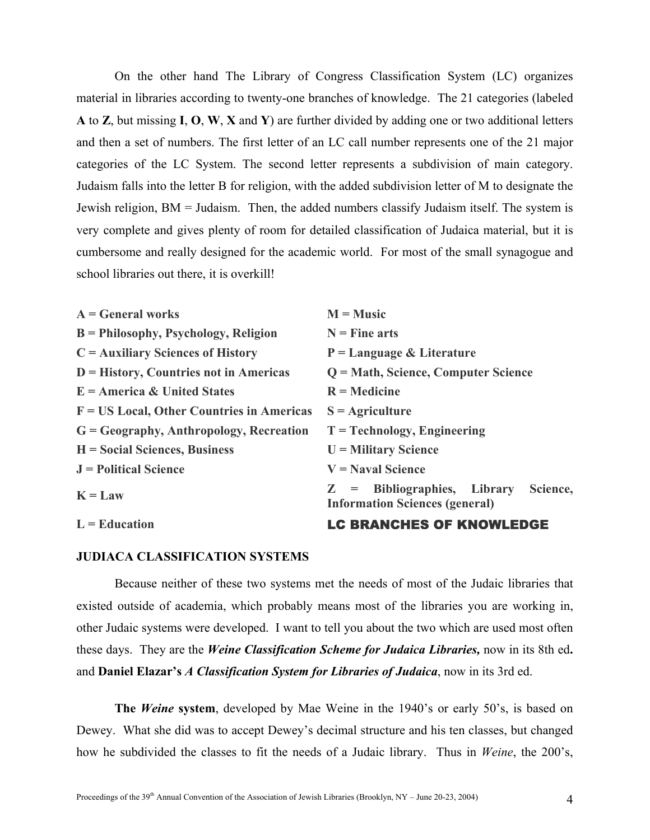On the other hand The Library of Congress Classification System (LC) organizes material in libraries according to twenty-one branches of knowledge. The 21 categories (labeled **A** to **Z**, but missing **I**, **O**, **W**, **X** and **Y**) are further divided by adding one or two additional letters and then a set of numbers. The first letter of an LC call number represents one of the 21 major categories of the LC System. The second letter represents a subdivision of main category. Judaism falls into the letter B for religion, with the added subdivision letter of M to designate the Jewish religion, BM = Judaism. Then, the added numbers classify Judaism itself. The system is very complete and gives plenty of room for detailed classification of Judaica material, but it is cumbersome and really designed for the academic world. For most of the small synagogue and school libraries out there, it is overkill!

| $A = General$ works                          | $M = Music$                                                                        |
|----------------------------------------------|------------------------------------------------------------------------------------|
| $B =$ Philosophy, Psychology, Religion       | $N =$ Fine arts                                                                    |
| $C =$ Auxiliary Sciences of History          | $P = Language & Literature$                                                        |
| $D = History, Countries not in Americas$     | Q = Math, Science, Computer Science                                                |
| $E =$ America & United States                | $R =$ Medicine                                                                     |
| $F = US Local$ , Other Countries in Americas | $S =$ Agriculture                                                                  |
| $G = Geography$ , Anthropology, Recreation   | $T = Technology$ , Engineering                                                     |
| $H = Social Sciences, Business$              | $U =$ Military Science                                                             |
| $J =$ Political Science                      | $V =$ Naval Science                                                                |
| $K = Law$                                    | $Z =$ Bibliographies, Library<br>Science,<br><b>Information Sciences (general)</b> |
| $L =$ Education                              | <b>LC BRANCHES OF KNOWLEDGE</b>                                                    |

## **JUDIACA CLASSIFICATION SYSTEMS**

Because neither of these two systems met the needs of most of the Judaic libraries that existed outside of academia, which probably means most of the libraries you are working in, other Judaic systems were developed. I want to tell you about the two which are used most often these days. They are the *Weine Classification Scheme for Judaica Libraries,* now in its 8th ed**.**  and **Daniel Elazar's** *A Classification System for Libraries of Judaica*, now in its 3rd ed.

**The** *Weine* **system**, developed by Mae Weine in the 1940's or early 50's, is based on Dewey. What she did was to accept Dewey's decimal structure and his ten classes, but changed how he subdivided the classes to fit the needs of a Judaic library. Thus in *Weine*, the 200's,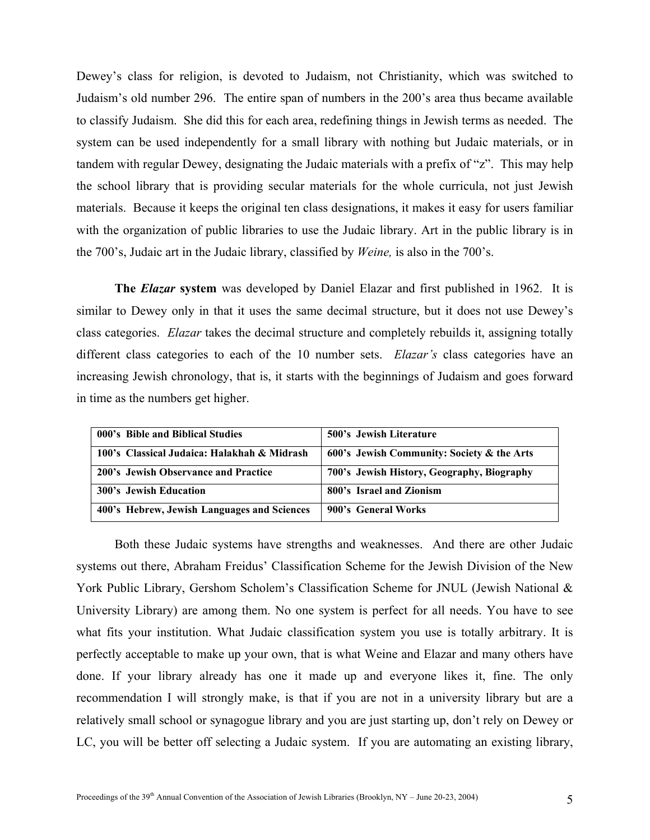Dewey's class for religion, is devoted to Judaism, not Christianity, which was switched to Judaism's old number 296. The entire span of numbers in the 200's area thus became available to classify Judaism. She did this for each area, redefining things in Jewish terms as needed. The system can be used independently for a small library with nothing but Judaic materials, or in tandem with regular Dewey, designating the Judaic materials with a prefix of "z". This may help the school library that is providing secular materials for the whole curricula, not just Jewish materials. Because it keeps the original ten class designations, it makes it easy for users familiar with the organization of public libraries to use the Judaic library. Art in the public library is in the 700's, Judaic art in the Judaic library, classified by *Weine,* is also in the 700's.

**The** *Elazar* **system** was developed by Daniel Elazar and first published in 1962. It is similar to Dewey only in that it uses the same decimal structure, but it does not use Dewey's class categories. *Elazar* takes the decimal structure and completely rebuilds it, assigning totally different class categories to each of the 10 number sets. *Elazar's* class categories have an increasing Jewish chronology, that is, it starts with the beginnings of Judaism and goes forward in time as the numbers get higher.

| 000's Bible and Biblical Studies            | 500's Jewish Literature                    |
|---------------------------------------------|--------------------------------------------|
| 100's Classical Judaica: Halakhah & Midrash | 600's Jewish Community: Society & the Arts |
| 200's Jewish Observance and Practice        | 700's Jewish History, Geography, Biography |
| <b>300's Jewish Education</b>               | 800's Israel and Zionism                   |
| 400's Hebrew, Jewish Languages and Sciences | 900's General Works                        |

Both these Judaic systems have strengths and weaknesses. And there are other Judaic systems out there, Abraham Freidus' Classification Scheme for the Jewish Division of the New York Public Library, Gershom Scholem's Classification Scheme for JNUL (Jewish National & University Library) are among them. No one system is perfect for all needs. You have to see what fits your institution. What Judaic classification system you use is totally arbitrary. It is perfectly acceptable to make up your own, that is what Weine and Elazar and many others have done. If your library already has one it made up and everyone likes it, fine. The only recommendation I will strongly make, is that if you are not in a university library but are a relatively small school or synagogue library and you are just starting up, don't rely on Dewey or LC, you will be better off selecting a Judaic system. If you are automating an existing library,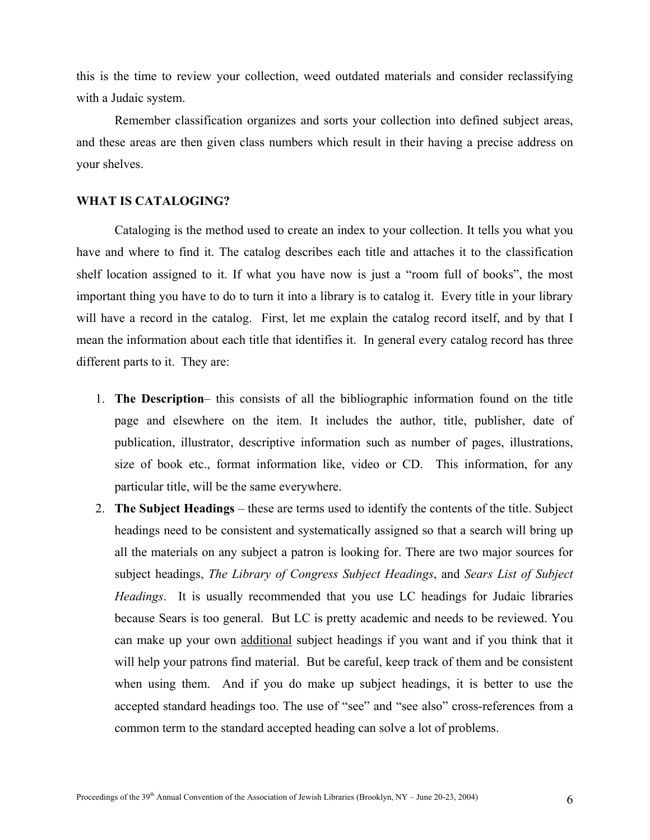this is the time to review your collection, weed outdated materials and consider reclassifying with a Judaic system.

Remember classification organizes and sorts your collection into defined subject areas, and these areas are then given class numbers which result in their having a precise address on your shelves.

## **WHAT IS CATALOGING?**

Cataloging is the method used to create an index to your collection. It tells you what you have and where to find it. The catalog describes each title and attaches it to the classification shelf location assigned to it. If what you have now is just a "room full of books", the most important thing you have to do to turn it into a library is to catalog it. Every title in your library will have a record in the catalog. First, let me explain the catalog record itself, and by that I mean the information about each title that identifies it. In general every catalog record has three different parts to it. They are:

- 1. **The Description** this consists of all the bibliographic information found on the title page and elsewhere on the item. It includes the author, title, publisher, date of publication, illustrator, descriptive information such as number of pages, illustrations, size of book etc., format information like, video or CD. This information, for any particular title, will be the same everywhere.
- 2. **The Subject Headings** these are terms used to identify the contents of the title. Subject headings need to be consistent and systematically assigned so that a search will bring up all the materials on any subject a patron is looking for. There are two major sources for subject headings, *The Library of Congress Subject Headings*, and *Sears List of Subject Headings*. It is usually recommended that you use LC headings for Judaic libraries because Sears is too general. But LC is pretty academic and needs to be reviewed. You can make up your own additional subject headings if you want and if you think that it will help your patrons find material. But be careful, keep track of them and be consistent when using them. And if you do make up subject headings, it is better to use the accepted standard headings too. The use of "see" and "see also" cross-references from a common term to the standard accepted heading can solve a lot of problems.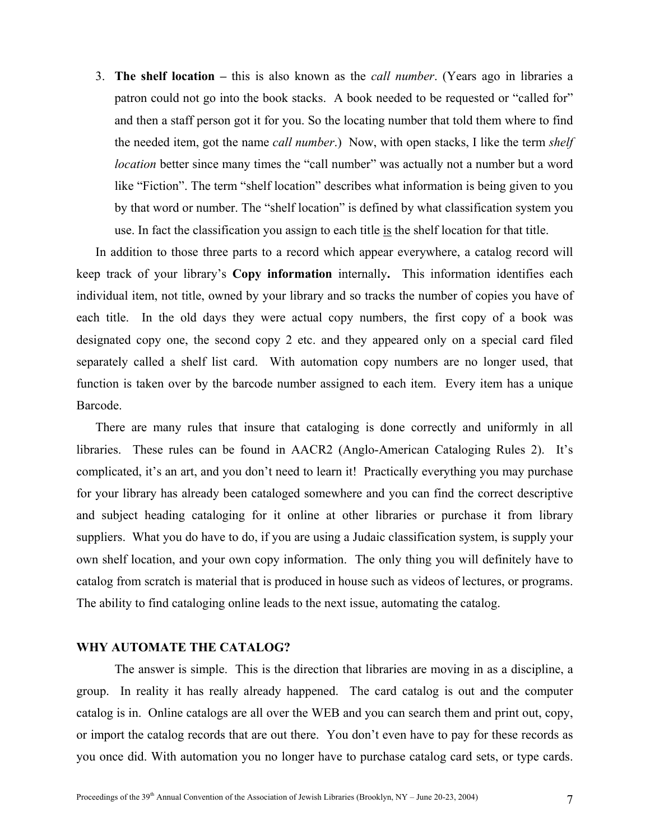3. **The shelf location –** this is also known as the *call number*. (Years ago in libraries a patron could not go into the book stacks. A book needed to be requested or "called for" and then a staff person got it for you. So the locating number that told them where to find the needed item, got the name *call number*.) Now, with open stacks, I like the term *shelf location* better since many times the "call number" was actually not a number but a word like "Fiction". The term "shelf location" describes what information is being given to you by that word or number. The "shelf location" is defined by what classification system you use. In fact the classification you assign to each title is the shelf location for that title.

In addition to those three parts to a record which appear everywhere, a catalog record will keep track of your library's **Copy information** internally**.** This information identifies each individual item, not title, owned by your library and so tracks the number of copies you have of each title. In the old days they were actual copy numbers, the first copy of a book was designated copy one, the second copy 2 etc. and they appeared only on a special card filed separately called a shelf list card. With automation copy numbers are no longer used, that function is taken over by the barcode number assigned to each item. Every item has a unique Barcode.

There are many rules that insure that cataloging is done correctly and uniformly in all libraries. These rules can be found in AACR2 (Anglo-American Cataloging Rules 2). It's complicated, it's an art, and you don't need to learn it! Practically everything you may purchase for your library has already been cataloged somewhere and you can find the correct descriptive and subject heading cataloging for it online at other libraries or purchase it from library suppliers. What you do have to do, if you are using a Judaic classification system, is supply your own shelf location, and your own copy information. The only thing you will definitely have to catalog from scratch is material that is produced in house such as videos of lectures, or programs. The ability to find cataloging online leads to the next issue, automating the catalog.

## **WHY AUTOMATE THE CATALOG?**

The answer is simple. This is the direction that libraries are moving in as a discipline, a group. In reality it has really already happened. The card catalog is out and the computer catalog is in. Online catalogs are all over the WEB and you can search them and print out, copy, or import the catalog records that are out there. You don't even have to pay for these records as you once did. With automation you no longer have to purchase catalog card sets, or type cards.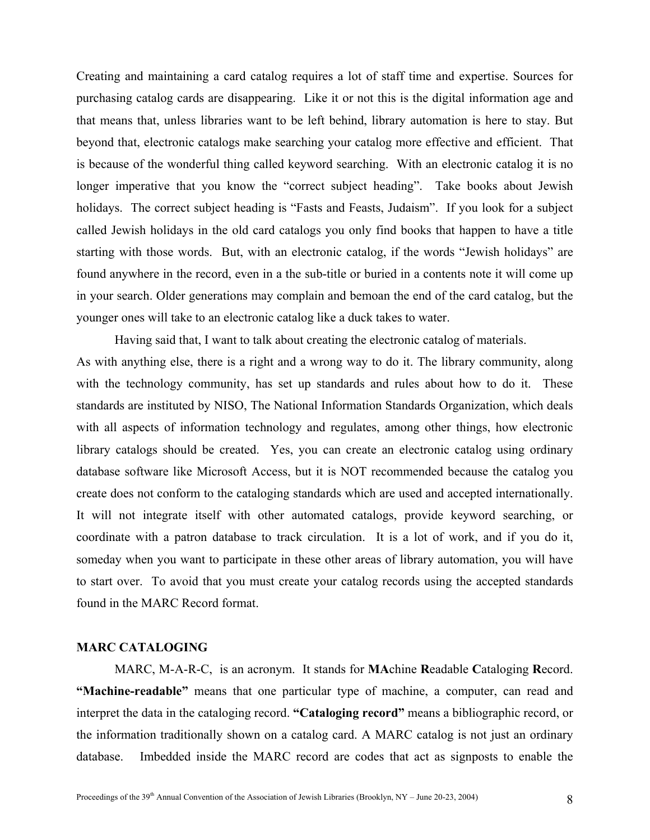Creating and maintaining a card catalog requires a lot of staff time and expertise. Sources for purchasing catalog cards are disappearing. Like it or not this is the digital information age and that means that, unless libraries want to be left behind, library automation is here to stay. But beyond that, electronic catalogs make searching your catalog more effective and efficient. That is because of the wonderful thing called keyword searching. With an electronic catalog it is no longer imperative that you know the "correct subject heading". Take books about Jewish holidays. The correct subject heading is "Fasts and Feasts, Judaism". If you look for a subject called Jewish holidays in the old card catalogs you only find books that happen to have a title starting with those words. But, with an electronic catalog, if the words "Jewish holidays" are found anywhere in the record, even in a the sub-title or buried in a contents note it will come up in your search. Older generations may complain and bemoan the end of the card catalog, but the younger ones will take to an electronic catalog like a duck takes to water.

Having said that, I want to talk about creating the electronic catalog of materials. As with anything else, there is a right and a wrong way to do it. The library community, along with the technology community, has set up standards and rules about how to do it. These standards are instituted by NISO, The National Information Standards Organization, which deals with all aspects of information technology and regulates, among other things, how electronic library catalogs should be created. Yes, you can create an electronic catalog using ordinary database software like Microsoft Access, but it is NOT recommended because the catalog you create does not conform to the cataloging standards which are used and accepted internationally. It will not integrate itself with other automated catalogs, provide keyword searching, or coordinate with a patron database to track circulation. It is a lot of work, and if you do it, someday when you want to participate in these other areas of library automation, you will have to start over. To avoid that you must create your catalog records using the accepted standards found in the MARC Record format.

## **MARC CATALOGING**

MARC, M-A-R-C, is an acronym. It stands for **MA**chine **R**eadable **C**ataloging **R**ecord. **"Machine-readable"** means that one particular type of machine, a computer, can read and interpret the data in the cataloging record. **"Cataloging record"** means a bibliographic record, or the information traditionally shown on a catalog card. A MARC catalog is not just an ordinary database. Imbedded inside the MARC record are codes that act as signposts to enable the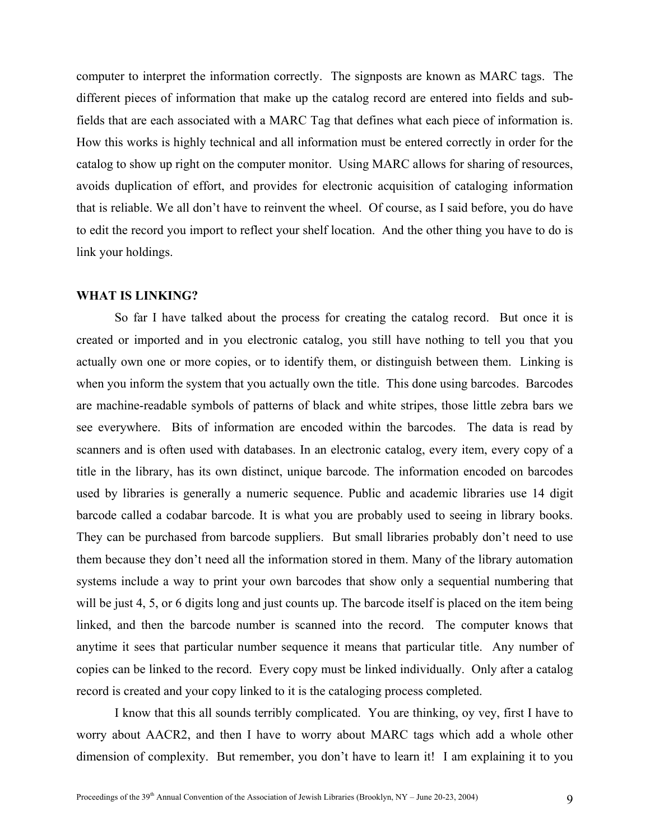computer to interpret the information correctly. The signposts are known as MARC tags. The different pieces of information that make up the catalog record are entered into fields and subfields that are each associated with a MARC Tag that defines what each piece of information is. How this works is highly technical and all information must be entered correctly in order for the catalog to show up right on the computer monitor. Using MARC allows for sharing of resources, avoids duplication of effort, and provides for electronic acquisition of cataloging information that is reliable. We all don't have to reinvent the wheel. Of course, as I said before, you do have to edit the record you import to reflect your shelf location. And the other thing you have to do is link your holdings.

## **WHAT IS LINKING?**

So far I have talked about the process for creating the catalog record. But once it is created or imported and in you electronic catalog, you still have nothing to tell you that you actually own one or more copies, or to identify them, or distinguish between them. Linking is when you inform the system that you actually own the title. This done using barcodes. Barcodes are machine-readable symbols of patterns of black and white stripes, those little zebra bars we see everywhere. Bits of information are encoded within the barcodes. The data is read by scanners and is often used with databases. In an electronic catalog, every item, every copy of a title in the library, has its own distinct, unique barcode. The information encoded on barcodes used by libraries is generally a numeric sequence. Public and academic libraries use 14 digit barcode called a codabar barcode. It is what you are probably used to seeing in library books. They can be purchased from barcode suppliers. But small libraries probably don't need to use them because they don't need all the information stored in them. Many of the library automation systems include a way to print your own barcodes that show only a sequential numbering that will be just 4, 5, or 6 digits long and just counts up. The barcode itself is placed on the item being linked, and then the barcode number is scanned into the record. The computer knows that anytime it sees that particular number sequence it means that particular title. Any number of copies can be linked to the record. Every copy must be linked individually. Only after a catalog record is created and your copy linked to it is the cataloging process completed.

I know that this all sounds terribly complicated. You are thinking, oy vey, first I have to worry about AACR2, and then I have to worry about MARC tags which add a whole other dimension of complexity. But remember, you don't have to learn it! I am explaining it to you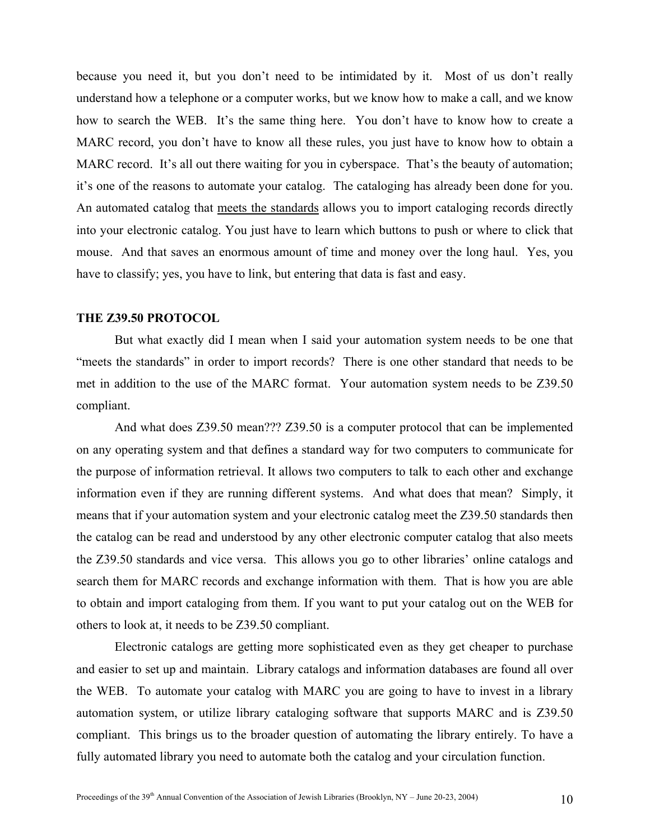because you need it, but you don't need to be intimidated by it. Most of us don't really understand how a telephone or a computer works, but we know how to make a call, and we know how to search the WEB. It's the same thing here. You don't have to know how to create a MARC record, you don't have to know all these rules, you just have to know how to obtain a MARC record. It's all out there waiting for you in cyberspace. That's the beauty of automation; it's one of the reasons to automate your catalog. The cataloging has already been done for you. An automated catalog that meets the standards allows you to import cataloging records directly into your electronic catalog. You just have to learn which buttons to push or where to click that mouse. And that saves an enormous amount of time and money over the long haul. Yes, you have to classify; yes, you have to link, but entering that data is fast and easy.

#### **THE Z39.50 PROTOCOL**

But what exactly did I mean when I said your automation system needs to be one that "meets the standards" in order to import records? There is one other standard that needs to be met in addition to the use of the MARC format. Your automation system needs to be Z39.50 compliant.

And what does Z39.50 mean??? Z39.50 is a computer protocol that can be implemented on any operating system and that defines a standard way for two computers to communicate for the purpose of information retrieval. It allows two computers to talk to each other and exchange information even if they are running different systems. And what does that mean? Simply, it means that if your automation system and your electronic catalog meet the Z39.50 standards then the catalog can be read and understood by any other electronic computer catalog that also meets the Z39.50 standards and vice versa. This allows you go to other libraries' online catalogs and search them for MARC records and exchange information with them. That is how you are able to obtain and import cataloging from them. If you want to put your catalog out on the WEB for others to look at, it needs to be Z39.50 compliant.

Electronic catalogs are getting more sophisticated even as they get cheaper to purchase and easier to set up and maintain. Library catalogs and information databases are found all over the WEB. To automate your catalog with MARC you are going to have to invest in a library automation system, or utilize library cataloging software that supports MARC and is Z39.50 compliant. This brings us to the broader question of automating the library entirely. To have a fully automated library you need to automate both the catalog and your circulation function.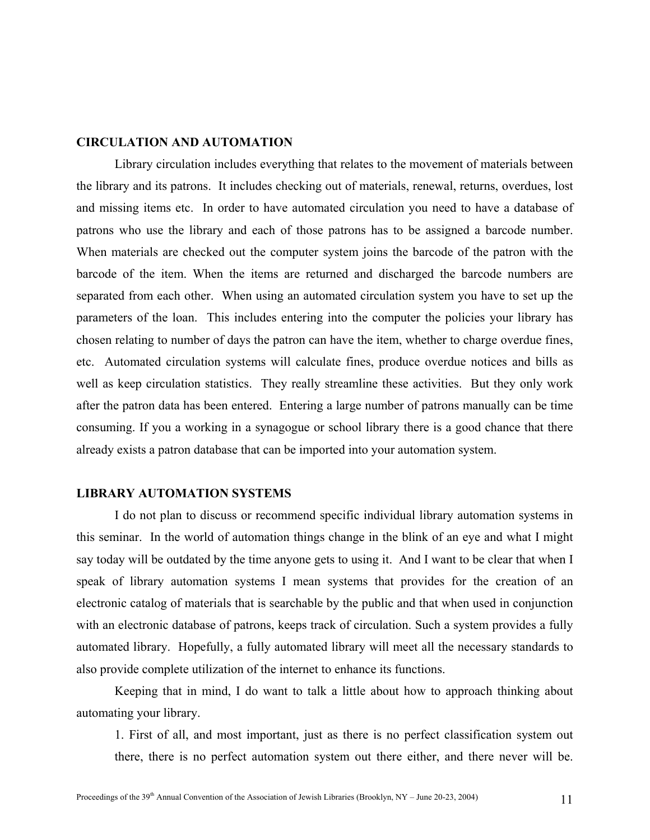# **CIRCULATION AND AUTOMATION**

Library circulation includes everything that relates to the movement of materials between the library and its patrons. It includes checking out of materials, renewal, returns, overdues, lost and missing items etc. In order to have automated circulation you need to have a database of patrons who use the library and each of those patrons has to be assigned a barcode number. When materials are checked out the computer system joins the barcode of the patron with the barcode of the item. When the items are returned and discharged the barcode numbers are separated from each other. When using an automated circulation system you have to set up the parameters of the loan. This includes entering into the computer the policies your library has chosen relating to number of days the patron can have the item, whether to charge overdue fines, etc. Automated circulation systems will calculate fines, produce overdue notices and bills as well as keep circulation statistics. They really streamline these activities. But they only work after the patron data has been entered. Entering a large number of patrons manually can be time consuming. If you a working in a synagogue or school library there is a good chance that there already exists a patron database that can be imported into your automation system.

#### **LIBRARY AUTOMATION SYSTEMS**

I do not plan to discuss or recommend specific individual library automation systems in this seminar. In the world of automation things change in the blink of an eye and what I might say today will be outdated by the time anyone gets to using it. And I want to be clear that when I speak of library automation systems I mean systems that provides for the creation of an electronic catalog of materials that is searchable by the public and that when used in conjunction with an electronic database of patrons, keeps track of circulation. Such a system provides a fully automated library. Hopefully, a fully automated library will meet all the necessary standards to also provide complete utilization of the internet to enhance its functions.

Keeping that in mind, I do want to talk a little about how to approach thinking about automating your library.

1. First of all, and most important, just as there is no perfect classification system out there, there is no perfect automation system out there either, and there never will be.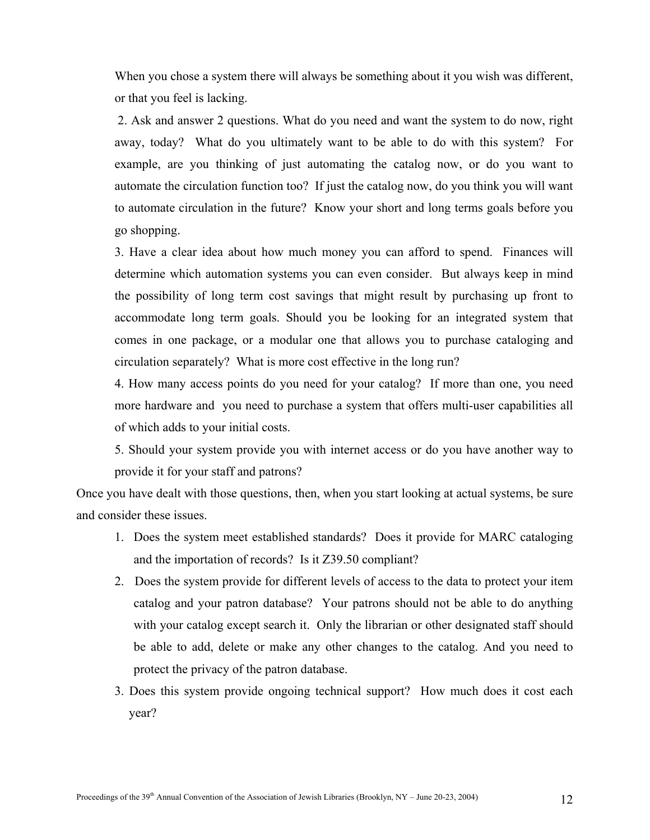When you chose a system there will always be something about it you wish was different, or that you feel is lacking.

2. Ask and answer 2 questions. What do you need and want the system to do now, right away, today? What do you ultimately want to be able to do with this system? For example, are you thinking of just automating the catalog now, or do you want to automate the circulation function too? If just the catalog now, do you think you will want to automate circulation in the future? Know your short and long terms goals before you go shopping.

3. Have a clear idea about how much money you can afford to spend. Finances will determine which automation systems you can even consider. But always keep in mind the possibility of long term cost savings that might result by purchasing up front to accommodate long term goals. Should you be looking for an integrated system that comes in one package, or a modular one that allows you to purchase cataloging and circulation separately? What is more cost effective in the long run?

4. How many access points do you need for your catalog? If more than one, you need more hardware and you need to purchase a system that offers multi-user capabilities all of which adds to your initial costs.

5. Should your system provide you with internet access or do you have another way to provide it for your staff and patrons?

Once you have dealt with those questions, then, when you start looking at actual systems, be sure and consider these issues.

- 1. Does the system meet established standards? Does it provide for MARC cataloging and the importation of records? Is it Z39.50 compliant?
- 2. Does the system provide for different levels of access to the data to protect your item catalog and your patron database? Your patrons should not be able to do anything with your catalog except search it. Only the librarian or other designated staff should be able to add, delete or make any other changes to the catalog. And you need to protect the privacy of the patron database.
- 3. Does this system provide ongoing technical support? How much does it cost each year?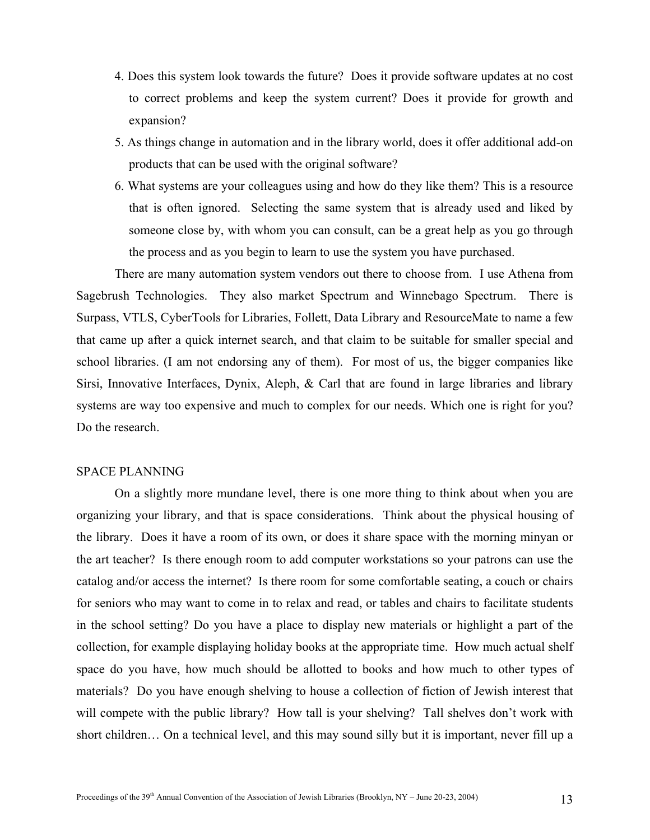- 4. Does this system look towards the future? Does it provide software updates at no cost to correct problems and keep the system current? Does it provide for growth and expansion?
- 5. As things change in automation and in the library world, does it offer additional add-on products that can be used with the original software?
- 6. What systems are your colleagues using and how do they like them? This is a resource that is often ignored. Selecting the same system that is already used and liked by someone close by, with whom you can consult, can be a great help as you go through the process and as you begin to learn to use the system you have purchased.

There are many automation system vendors out there to choose from. I use Athena from Sagebrush Technologies. They also market Spectrum and Winnebago Spectrum. There is Surpass, VTLS, CyberTools for Libraries, Follett, Data Library and ResourceMate to name a few that came up after a quick internet search, and that claim to be suitable for smaller special and school libraries. (I am not endorsing any of them). For most of us, the bigger companies like Sirsi, Innovative Interfaces, Dynix, Aleph, & Carl that are found in large libraries and library systems are way too expensive and much to complex for our needs. Which one is right for you? Do the research.

## SPACE PLANNING

On a slightly more mundane level, there is one more thing to think about when you are organizing your library, and that is space considerations. Think about the physical housing of the library. Does it have a room of its own, or does it share space with the morning minyan or the art teacher? Is there enough room to add computer workstations so your patrons can use the catalog and/or access the internet? Is there room for some comfortable seating, a couch or chairs for seniors who may want to come in to relax and read, or tables and chairs to facilitate students in the school setting? Do you have a place to display new materials or highlight a part of the collection, for example displaying holiday books at the appropriate time. How much actual shelf space do you have, how much should be allotted to books and how much to other types of materials? Do you have enough shelving to house a collection of fiction of Jewish interest that will compete with the public library? How tall is your shelving? Tall shelves don't work with short children… On a technical level, and this may sound silly but it is important, never fill up a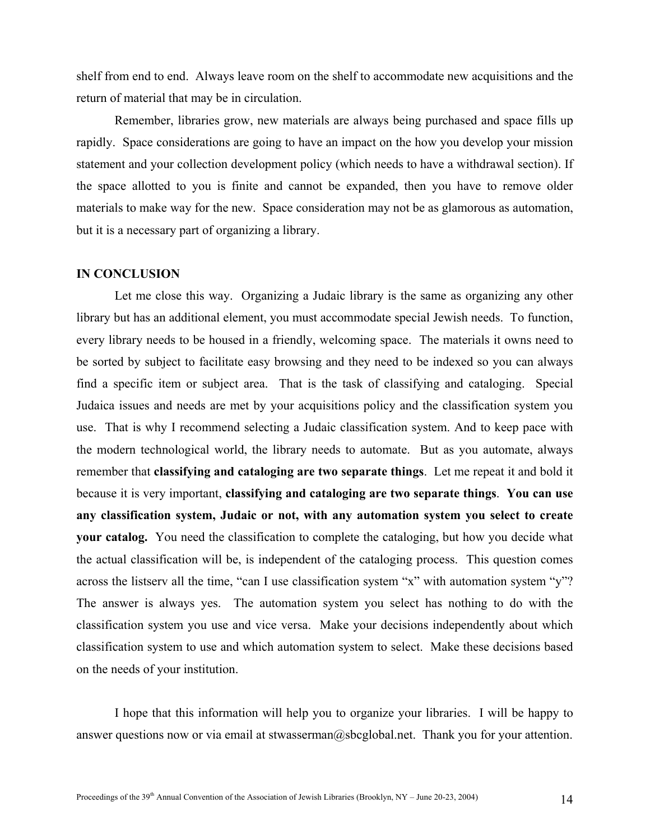shelf from end to end. Always leave room on the shelf to accommodate new acquisitions and the return of material that may be in circulation.

Remember, libraries grow, new materials are always being purchased and space fills up rapidly. Space considerations are going to have an impact on the how you develop your mission statement and your collection development policy (which needs to have a withdrawal section). If the space allotted to you is finite and cannot be expanded, then you have to remove older materials to make way for the new. Space consideration may not be as glamorous as automation, but it is a necessary part of organizing a library.

#### **IN CONCLUSION**

Let me close this way. Organizing a Judaic library is the same as organizing any other library but has an additional element, you must accommodate special Jewish needs. To function, every library needs to be housed in a friendly, welcoming space. The materials it owns need to be sorted by subject to facilitate easy browsing and they need to be indexed so you can always find a specific item or subject area. That is the task of classifying and cataloging. Special Judaica issues and needs are met by your acquisitions policy and the classification system you use. That is why I recommend selecting a Judaic classification system. And to keep pace with the modern technological world, the library needs to automate. But as you automate, always remember that **classifying and cataloging are two separate things**. Let me repeat it and bold it because it is very important, **classifying and cataloging are two separate things**. **You can use any classification system, Judaic or not, with any automation system you select to create your catalog.** You need the classification to complete the cataloging, but how you decide what the actual classification will be, is independent of the cataloging process. This question comes across the listserv all the time, "can I use classification system "x" with automation system "y"? The answer is always yes. The automation system you select has nothing to do with the classification system you use and vice versa. Make your decisions independently about which classification system to use and which automation system to select. Make these decisions based on the needs of your institution.

I hope that this information will help you to organize your libraries. I will be happy to answer questions now or via email at stwasserman@sbcglobal.net. Thank you for your attention.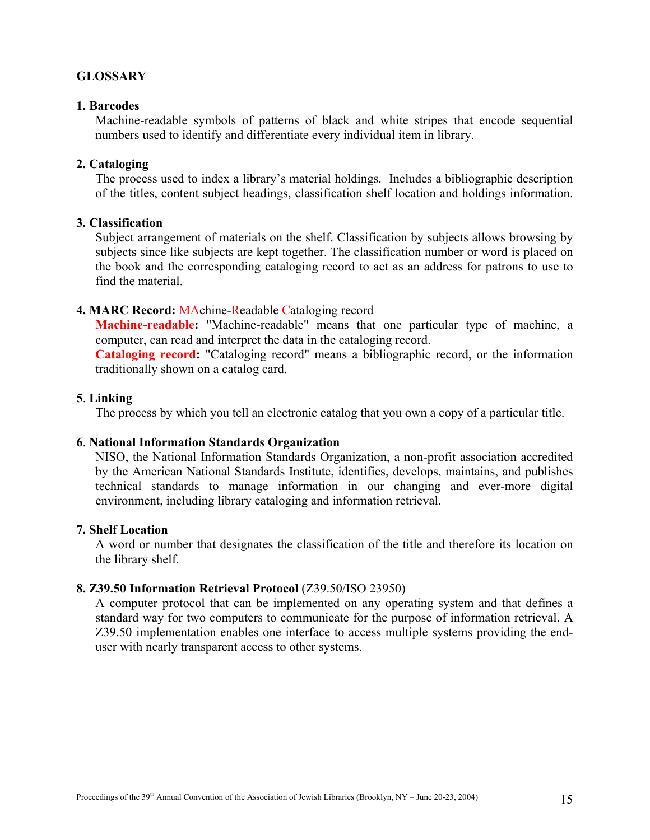# **GLOSSARY**

# **1. Barcodes**

Machine-readable symbols of patterns of black and white stripes that encode sequential numbers used to identify and differentiate every individual item in library.

# **2. Cataloging**

The process used to index a library's material holdings. Includes a bibliographic description of the titles, content subject headings, classification shelf location and holdings information.

# **3. Classification**

Subject arrangement of materials on the shelf. Classification by subjects allows browsing by subjects since like subjects are kept together. The classification number or word is placed on the book and the corresponding cataloging record to act as an address for patrons to use to find the material.

# **4. MARC Record:** MAchine-Readable Cataloging record

**Machine-readable:** "Machine-readable" means that one particular type of machine, a computer, can read and interpret the data in the cataloging record.

**Cataloging record:** "Cataloging record" means a bibliographic record, or the information traditionally shown on a catalog card.

## **5**. **Linking**

The process by which you tell an electronic catalog that you own a copy of a particular title.

# **6**. **National Information Standards Organization**

NISO, the National Information Standards Organization, a non-profit association accredited by the American National Standards Institute, identifies, develops, maintains, and publishes technical standards to manage information in our changing and ever-more digital environment, including library cataloging and information retrieval.

# **7. Shelf Location**

A word or number that designates the classification of the title and therefore its location on the library shelf.

# **8. Z39.50 Information Retrieval Protocol** (Z39.50/ISO 23950)

A computer protocol that can be implemented on any operating system and that defines a standard way for two computers to communicate for the purpose of information retrieval. A Z39.50 implementation enables one interface to access multiple systems providing the enduser with nearly transparent access to other systems.